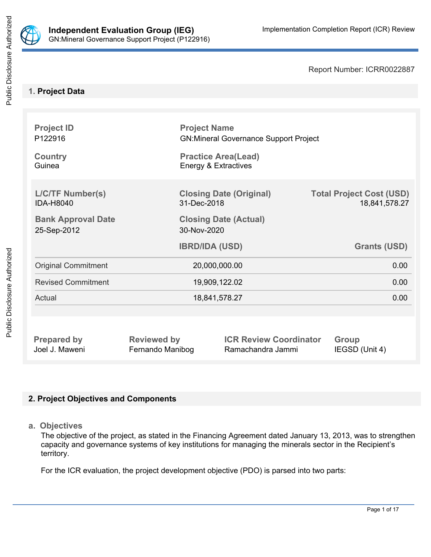

Report Number: ICRR0022887

## **1. Project Data**

| <b>Project ID</b><br>P122916<br><b>Country</b><br>Guinea |                    | <b>Project Name</b><br><b>GN:Mineral Governance Support Project</b><br><b>Practice Area(Lead)</b><br>Energy & Extractives |                                                  |  |  |
|----------------------------------------------------------|--------------------|---------------------------------------------------------------------------------------------------------------------------|--------------------------------------------------|--|--|
|                                                          |                    |                                                                                                                           |                                                  |  |  |
| <b>L/C/TF Number(s)</b><br><b>IDA-H8040</b>              | 31-Dec-2018        | <b>Closing Date (Original)</b>                                                                                            | <b>Total Project Cost (USD)</b><br>18,841,578.27 |  |  |
| <b>Bank Approval Date</b><br>25-Sep-2012                 | 30-Nov-2020        | <b>Closing Date (Actual)</b>                                                                                              |                                                  |  |  |
|                                                          |                    | <b>IBRD/IDA (USD)</b>                                                                                                     | <b>Grants (USD)</b>                              |  |  |
| <b>Original Commitment</b>                               | 20,000,000.00      |                                                                                                                           | 0.00                                             |  |  |
| <b>Revised Commitment</b>                                | 19,909,122.02      |                                                                                                                           | 0.00                                             |  |  |
| Actual                                                   | 18,841,578.27      |                                                                                                                           | 0.00                                             |  |  |
|                                                          |                    |                                                                                                                           |                                                  |  |  |
| <b>Prepared by</b>                                       | <b>Reviewed by</b> | <b>ICR Review Coordinator</b>                                                                                             | <b>Group</b>                                     |  |  |

Joel J. Maweni Fernando Manibog Ramachandra Jammi IEGSD (Unit 4)

# **2. Project Objectives and Components**

**a. Objectives**

The objective of the project, as stated in the Financing Agreement dated January 13, 2013, was to strengthen capacity and governance systems of key institutions for managing the minerals sector in the Recipient's territory.

For the ICR evaluation, the project development objective (PDO) is parsed into two parts: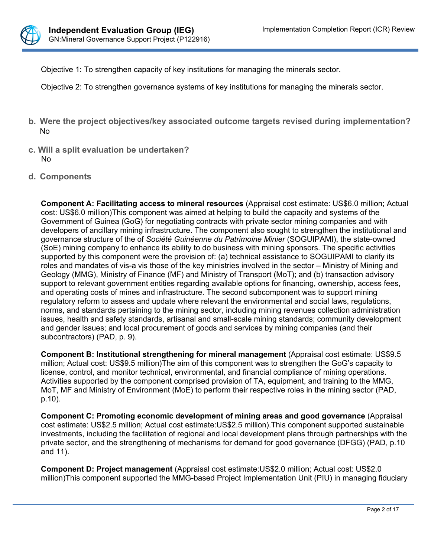

Objective 1: To strengthen capacity of key institutions for managing the minerals sector.

Objective 2: To strengthen governance systems of key institutions for managing the minerals sector.

- **b. Were the project objectives/key associated outcome targets revised during implementation?** No
- **c. Will a split evaluation be undertaken?** No
- **d. Components**

**Component A: Facilitating access to mineral resources** (Appraisal cost estimate: US\$6.0 million; Actual cost: US\$6.0 million)This component was aimed at helping to build the capacity and systems of the Government of Guinea (GoG) for negotiating contracts with private sector mining companies and with developers of ancillary mining infrastructure. The component also sought to strengthen the institutional and governance structure of the of *Société Guinéenne du Patrimoine Minier* (SOGUIPAMI), the state-owned (SoE) mining company to enhance its ability to do business with mining sponsors. The specific activities supported by this component were the provision of: (a) technical assistance to SOGUIPAMI to clarify its roles and mandates of vis-a vis those of the key ministries involved in the sector – Ministry of Mining and Geology (MMG), Ministry of Finance (MF) and Ministry of Transport (MoT); and (b) transaction advisory support to relevant government entities regarding available options for financing, ownership, access fees, and operating costs of mines and infrastructure. The second subcomponent was to support mining regulatory reform to assess and update where relevant the environmental and social laws, regulations, norms, and standards pertaining to the mining sector, including mining revenues collection administration issues, health and safety standards, artisanal and small-scale mining standards; community development and gender issues; and local procurement of goods and services by mining companies (and their subcontractors) (PAD, p. 9).

**Component B: Institutional strengthening for mineral management** (Appraisal cost estimate: US\$9.5 million; Actual cost: US\$9.5 million)The aim of this component was to strengthen the GoG's capacity to license, control, and monitor technical, environmental, and financial compliance of mining operations. Activities supported by the component comprised provision of TA, equipment, and training to the MMG, MoT, MF and Ministry of Environment (MoE) to perform their respective roles in the mining sector (PAD, p.10).

**Component C: Promoting economic development of mining areas and good governance** (Appraisal cost estimate: US\$2.5 million; Actual cost estimate:US\$2.5 million).This component supported sustainable investments, including the facilitation of regional and local development plans through partnerships with the private sector, and the strengthening of mechanisms for demand for good governance (DFGG) (PAD, p.10 and 11).

**Component D: Project management** (Appraisal cost estimate:US\$2.0 million; Actual cost: US\$2.0 million)This component supported the MMG-based Project Implementation Unit (PIU) in managing fiduciary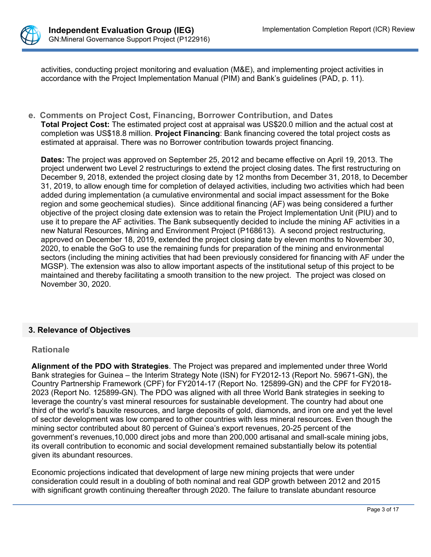

activities, conducting project monitoring and evaluation (M&E), and implementing project activities in accordance with the Project Implementation Manual (PIM) and Bank's guidelines (PAD, p. 11).

**e. Comments on Project Cost, Financing, Borrower Contribution, and Dates Total Project Cost:** The estimated project cost at appraisal was US\$20.0 million and the actual cost at completion was US\$18.8 million. **Project Financing**: Bank financing covered the total project costs as estimated at appraisal. There was no Borrower contribution towards project financing.

**Dates:** The project was approved on September 25, 2012 and became effective on April 19, 2013. The project underwent two Level 2 restructurings to extend the project closing dates. The first restructuring on December 9, 2018, extended the project closing date by 12 months from December 31, 2018, to December 31, 2019, to allow enough time for completion of delayed activities, including two activities which had been added during implementation (a cumulative environmental and social impact assessment for the Boke region and some geochemical studies). Since additional financing (AF) was being considered a further objective of the project closing date extension was to retain the Project Implementation Unit (PIU) and to use it to prepare the AF activities. The Bank subsequently decided to include the mining AF activities in a new Natural Resources, Mining and Environment Project (P168613). A second project restructuring, approved on December 18, 2019, extended the project closing date by eleven months to November 30, 2020, to enable the GoG to use the remaining funds for preparation of the mining and environmental sectors (including the mining activities that had been previously considered for financing with AF under the MGSP). The extension was also to allow important aspects of the institutional setup of this project to be maintained and thereby facilitating a smooth transition to the new project. The project was closed on November 30, 2020.

## **3. Relevance of Objectives**

## **Rationale**

**Alignment of the PDO with Strategies**. The Project was prepared and implemented under three World Bank strategies for Guinea – the Interim Strategy Note (ISN) for FY2012-13 (Report No. 59671-GN), the Country Partnership Framework (CPF) for FY2014-17 (Report No. 125899-GN) and the CPF for FY2018- 2023 (Report No. 125899-GN). The PDO was aligned with all three World Bank strategies in seeking to leverage the country's vast mineral resources for sustainable development. The country had about one third of the world's bauxite resources, and large deposits of gold, diamonds, and iron ore and yet the level of sector development was low compared to other countries with less mineral resources. Even though the mining sector contributed about 80 percent of Guinea's export revenues, 20-25 percent of the government's revenues,10,000 direct jobs and more than 200,000 artisanal and small-scale mining jobs, its overall contribution to economic and social development remained substantially below its potential given its abundant resources.

Economic projections indicated that development of large new mining projects that were under consideration could result in a doubling of both nominal and real GDP growth between 2012 and 2015 with significant growth continuing thereafter through 2020. The failure to translate abundant resource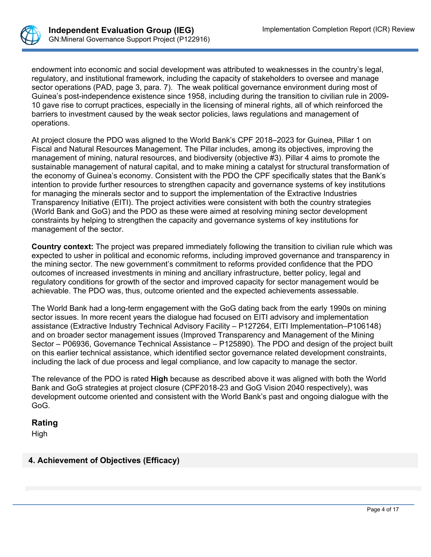

endowment into economic and social development was attributed to weaknesses in the country's legal, regulatory, and institutional framework, including the capacity of stakeholders to oversee and manage sector operations (PAD, page 3, para. 7). The weak political governance environment during most of Guinea's post-independence existence since 1958, including during the transition to civilian rule in 2009- 10 gave rise to corrupt practices, especially in the licensing of mineral rights, all of which reinforced the barriers to investment caused by the weak sector policies, laws regulations and management of operations.

At project closure the PDO was aligned to the World Bank's CPF 2018–2023 for Guinea, Pillar 1 on Fiscal and Natural Resources Management. The Pillar includes, among its objectives, improving the management of mining, natural resources, and biodiversity (objective #3). Pillar 4 aims to promote the sustainable management of natural capital, and to make mining a catalyst for structural transformation of the economy of Guinea's economy. Consistent with the PDO the CPF specifically states that the Bank's intention to provide further resources to strengthen capacity and governance systems of key institutions for managing the minerals sector and to support the implementation of the Extractive Industries Transparency Initiative (EITI). The project activities were consistent with both the country strategies (World Bank and GoG) and the PDO as these were aimed at resolving mining sector development constraints by helping to strengthen the capacity and governance systems of key institutions for management of the sector.

**Country context:** The project was prepared immediately following the transition to civilian rule which was expected to usher in political and economic reforms, including improved governance and transparency in the mining sector. The new government's commitment to reforms provided confidence that the PDO outcomes of increased investments in mining and ancillary infrastructure, better policy, legal and regulatory conditions for growth of the sector and improved capacity for sector management would be achievable. The PDO was, thus, outcome oriented and the expected achievements assessable.

The World Bank had a long-term engagement with the GoG dating back from the early 1990s on mining sector issues. In more recent years the dialogue had focused on EITI advisory and implementation assistance (Extractive Industry Technical Advisory Facility – P127264, EITI Implementation–P106148) and on broader sector management issues (Improved Transparency and Management of the Mining Sector – P06936, Governance Technical Assistance – P125890). The PDO and design of the project built on this earlier technical assistance, which identified sector governance related development constraints, including the lack of due process and legal compliance, and low capacity to manage the sector.

The relevance of the PDO is rated **High** because as described above it was aligned with both the World Bank and GoG strategies at project closure (CPF2018-23 and GoG Vision 2040 respectively), was development outcome oriented and consistent with the World Bank's past and ongoing dialogue with the GoG.

## **Rating**

High

# **4. Achievement of Objectives (Efficacy)**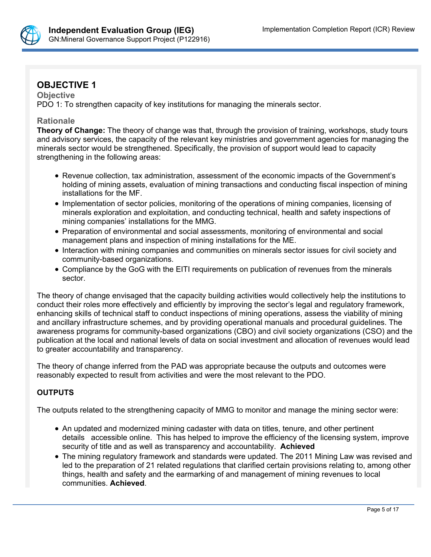

# **OBJECTIVE 1**

**Objective** PDO 1: To strengthen capacity of key institutions for managing the minerals sector.

#### **Rationale**

**Theory of Change:** The theory of change was that, through the provision of training, workshops, study tours and advisory services, the capacity of the relevant key ministries and government agencies for managing the minerals sector would be strengthened. Specifically, the provision of support would lead to capacity strengthening in the following areas:

- Revenue collection, tax administration, assessment of the economic impacts of the Government's holding of mining assets, evaluation of mining transactions and conducting fiscal inspection of mining installations for the MF.
- Implementation of sector policies, monitoring of the operations of mining companies, licensing of minerals exploration and exploitation, and conducting technical, health and safety inspections of mining companies' installations for the MMG.
- Preparation of environmental and social assessments, monitoring of environmental and social management plans and inspection of mining installations for the ME.
- Interaction with mining companies and communities on minerals sector issues for civil society and community-based organizations.
- Compliance by the GoG with the EITI requirements on publication of revenues from the minerals sector.

The theory of change envisaged that the capacity building activities would collectively help the institutions to conduct their roles more effectively and efficiently by improving the sector's legal and regulatory framework, enhancing skills of technical staff to conduct inspections of mining operations, assess the viability of mining and ancillary infrastructure schemes, and by providing operational manuals and procedural guidelines. The awareness programs for community-based organizations (CBO) and civil society organizations (CSO) and the publication at the local and national levels of data on social investment and allocation of revenues would lead to greater accountability and transparency.

The theory of change inferred from the PAD was appropriate because the outputs and outcomes were reasonably expected to result from activities and were the most relevant to the PDO.

# **OUTPUTS**

The outputs related to the strengthening capacity of MMG to monitor and manage the mining sector were:

- An updated and modernized mining cadaster with data on titles, tenure, and other pertinent details accessible online. This has helped to improve the efficiency of the licensing system, improve security of title and as well as transparency and accountability. **Achieved**
- The mining regulatory framework and standards were updated. The 2011 Mining Law was revised and led to the preparation of 21 related regulations that clarified certain provisions relating to, among other things, health and safety and the earmarking of and management of mining revenues to local communities. **Achieved**.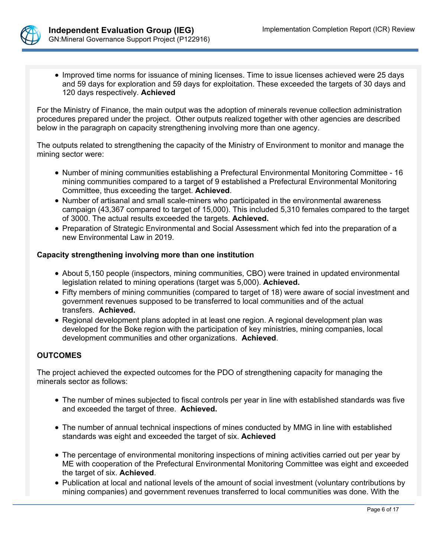

• Improved time norms for issuance of mining licenses. Time to issue licenses achieved were 25 days and 59 days for exploration and 59 days for exploitation. These exceeded the targets of 30 days and 120 days respectively. **Achieved**

For the Ministry of Finance, the main output was the adoption of minerals revenue collection administration procedures prepared under the project. Other outputs realized together with other agencies are described below in the paragraph on capacity strengthening involving more than one agency.

The outputs related to strengthening the capacity of the Ministry of Environment to monitor and manage the mining sector were:

- Number of mining communities establishing a Prefectural Environmental Monitoring Committee 16 mining communities compared to a target of 9 established a Prefectural Environmental Monitoring Committee, thus exceeding the target. **Achieved**.
- Number of artisanal and small scale-miners who participated in the environmental awareness campaign (43,367 compared to target of 15,000). This included 5,310 females compared to the target of 3000. The actual results exceeded the targets. **Achieved.**
- Preparation of Strategic Environmental and Social Assessment which fed into the preparation of a new Environmental Law in 2019.

## **Capacity strengthening involving more than one institution**

- About 5,150 people (inspectors, mining communities, CBO) were trained in updated environmental legislation related to mining operations (target was 5,000). **Achieved.**
- Fifty members of mining communities (compared to target of 18) were aware of social investment and government revenues supposed to be transferred to local communities and of the actual transfers. **Achieved.**
- Regional development plans adopted in at least one region. A regional development plan was developed for the Boke region with the participation of key ministries, mining companies, local development communities and other organizations. **Achieved**.

## **OUTCOMES**

The project achieved the expected outcomes for the PDO of strengthening capacity for managing the minerals sector as follows:

- The number of mines subjected to fiscal controls per year in line with established standards was five and exceeded the target of three. **Achieved.**
- The number of annual technical inspections of mines conducted by MMG in line with established standards was eight and exceeded the target of six. **Achieved**
- The percentage of environmental monitoring inspections of mining activities carried out per year by ME with cooperation of the Prefectural Environmental Monitoring Committee was eight and exceeded the target of six. **Achieved**.
- Publication at local and national levels of the amount of social investment (voluntary contributions by mining companies) and government revenues transferred to local communities was done. With the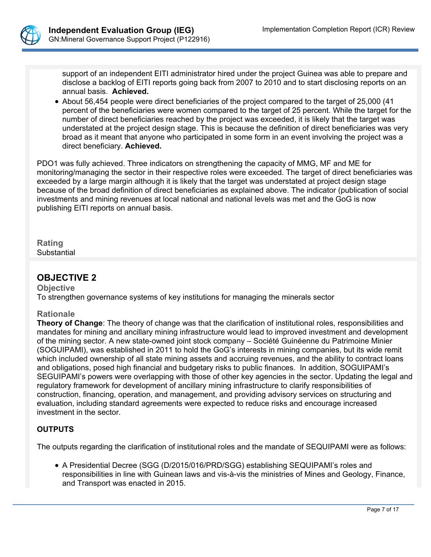

support of an independent EITI administrator hired under the project Guinea was able to prepare and disclose a backlog of EITI reports going back from 2007 to 2010 and to start disclosing reports on an annual basis. **Achieved.**

• About 56,454 people were direct beneficiaries of the project compared to the target of 25,000 (41 percent of the beneficiaries were women compared to the target of 25 percent. While the target for the number of direct beneficiaries reached by the project was exceeded, it is likely that the target was understated at the project design stage. This is because the definition of direct beneficiaries was very broad as it meant that anyone who participated in some form in an event involving the project was a direct beneficiary. **Achieved.**

PDO1 was fully achieved. Three indicators on strengthening the capacity of MMG, MF and ME for monitoring/managing the sector in their respective roles were exceeded. The target of direct beneficiaries was exceeded by a large margin although it is likely that the target was understated at project design stage because of the broad definition of direct beneficiaries as explained above. The indicator (publication of social investments and mining revenues at local national and national levels was met and the GoG is now publishing EITI reports on annual basis.

**Rating Substantial** 

# **OBJECTIVE 2**

**Objective**

To strengthen governance systems of key institutions for managing the minerals sector

## **Rationale**

**Theory of Change**: The theory of change was that the clarification of institutional roles, responsibilities and mandates for mining and ancillary mining infrastructure would lead to improved investment and development of the mining sector. A new state-owned joint stock company – Société Guinéenne du Patrimoine Minier (SOGUIPAMI), was established in 2011 to hold the GoG's interests in mining companies, but its wide remit which included ownership of all state mining assets and accruing revenues, and the ability to contract loans and obligations, posed high financial and budgetary risks to public finances. In addition, SOGUIPAMI's SEGUIPAMI's powers were overlapping with those of other key agencies in the sector. Updating the legal and regulatory framework for development of ancillary mining infrastructure to clarify responsibilities of construction, financing, operation, and management, and providing advisory services on structuring and evaluation, including standard agreements were expected to reduce risks and encourage increased investment in the sector.

## **OUTPUTS**

The outputs regarding the clarification of institutional roles and the mandate of SEQUIPAMI were as follows:

 A Presidential Decree (SGG (D/2015/016/PRD/SGG) establishing SEQUIPAMI's roles and responsibilities in line with Guinean laws and vis-à-vis the ministries of Mines and Geology, Finance, and Transport was enacted in 2015.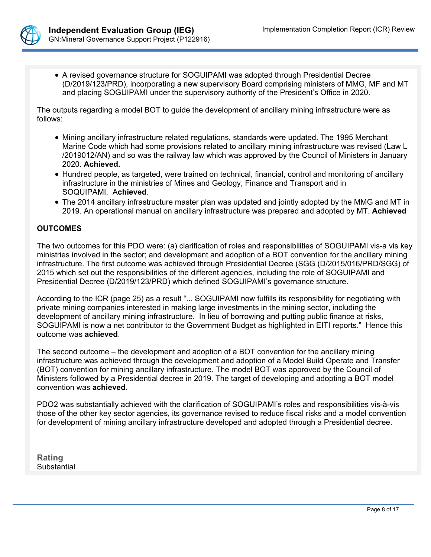

 A revised governance structure for SOGUIPAMI was adopted through Presidential Decree (D/2019/123/PRD), incorporating a new supervisory Board comprising ministers of MMG, MF and MT and placing SOGUIPAMI under the supervisory authority of the President's Office in 2020.

The outputs regarding a model BOT to guide the development of ancillary mining infrastructure were as follows:

- Mining ancillary infrastructure related regulations, standards were updated. The 1995 Merchant Marine Code which had some provisions related to ancillary mining infrastructure was revised (Law L /2019012/AN) and so was the railway law which was approved by the Council of Ministers in January 2020. **Achieved.**
- Hundred people, as targeted, were trained on technical, financial, control and monitoring of ancillary infrastructure in the ministries of Mines and Geology, Finance and Transport and in SOQUIPAMI. A**chieved**.
- The 2014 ancillary infrastructure master plan was updated and jointly adopted by the MMG and MT in 2019. An operational manual on ancillary infrastructure was prepared and adopted by MT. **Achieved**

## **OUTCOMES**

The two outcomes for this PDO were: (a) clarification of roles and responsibilities of SOGUIPAMI vis-a vis key ministries involved in the sector; and development and adoption of a BOT convention for the ancillary mining infrastructure. The first outcome was achieved through Presidential Decree (SGG (D/2015/016/PRD/SGG) of 2015 which set out the responsibilities of the different agencies, including the role of SOGUIPAMI and Presidential Decree (D/2019/123/PRD) which defined SOGUIPAMI's governance structure.

According to the ICR (page 25) as a result "... SOGUIPAMI now fulfills its responsibility for negotiating with private mining companies interested in making large investments in the mining sector, including the development of ancillary mining infrastructure. In lieu of borrowing and putting public finance at risks, SOGUIPAMI is now a net contributor to the Government Budget as highlighted in EITI reports." Hence this outcome was **achieved**.

The second outcome – the development and adoption of a BOT convention for the ancillary mining infrastructure was achieved through the development and adoption of a Model Build Operate and Transfer (BOT) convention for mining ancillary infrastructure. The model BOT was approved by the Council of Ministers followed by a Presidential decree in 2019. The target of developing and adopting a BOT model convention was **achieved**.

PDO2 was substantially achieved with the clarification of SOGUIPAMI's roles and responsibilities vis-à-vis those of the other key sector agencies, its governance revised to reduce fiscal risks and a model convention for development of mining ancillary infrastructure developed and adopted through a Presidential decree.

**Rating** Substantial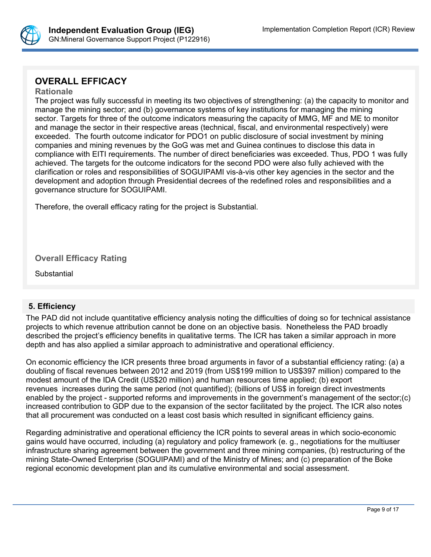

# **OVERALL EFFICACY**

#### **Rationale**

The project was fully successful in meeting its two objectives of strengthening: (a) the capacity to monitor and manage the mining sector; and (b) governance systems of key institutions for managing the mining sector. Targets for three of the outcome indicators measuring the capacity of MMG, MF and ME to monitor and manage the sector in their respective areas (technical, fiscal, and environmental respectively) were exceeded. The fourth outcome indicator for PDO1 on public disclosure of social investment by mining companies and mining revenues by the GoG was met and Guinea continues to disclose this data in compliance with EITI requirements. The number of direct beneficiaries was exceeded. Thus, PDO 1 was fully achieved. The targets for the outcome indicators for the second PDO were also fully achieved with the clarification or roles and responsibilities of SOGUIPAMI vis-à-vis other key agencies in the sector and the development and adoption through Presidential decrees of the redefined roles and responsibilities and a governance structure for SOGUIPAMI.

Therefore, the overall efficacy rating for the project is Substantial.

**Overall Efficacy Rating**

**Substantial** 

# **5. Efficiency**

The PAD did not include quantitative efficiency analysis noting the difficulties of doing so for technical assistance projects to which revenue attribution cannot be done on an objective basis. Nonetheless the PAD broadly described the project's efficiency benefits in qualitative terms. The ICR has taken a similar approach in more depth and has also applied a similar approach to administrative and operational efficiency.

On economic efficiency the ICR presents three broad arguments in favor of a substantial efficiency rating: (a) a doubling of fiscal revenues between 2012 and 2019 (from US\$199 million to US\$397 million) compared to the modest amount of the IDA Credit (US\$20 million) and human resources time applied; (b) export revenues increases during the same period (not quantified); (billions of US\$ in foreign direct investments enabled by the project - supported reforms and improvements in the government's management of the sector;(c) increased contribution to GDP due to the expansion of the sector facilitated by the project. The ICR also notes that all procurement was conducted on a least cost basis which resulted in significant efficiency gains.

Regarding administrative and operational efficiency the ICR points to several areas in which socio-economic gains would have occurred, including (a) regulatory and policy framework (e. g., negotiations for the multiuser infrastructure sharing agreement between the government and three mining companies, (b) restructuring of the mining State-Owned Enterprise (SOGUIPAMI) and of the Ministry of Mines; and (c) preparation of the Boke regional economic development plan and its cumulative environmental and social assessment.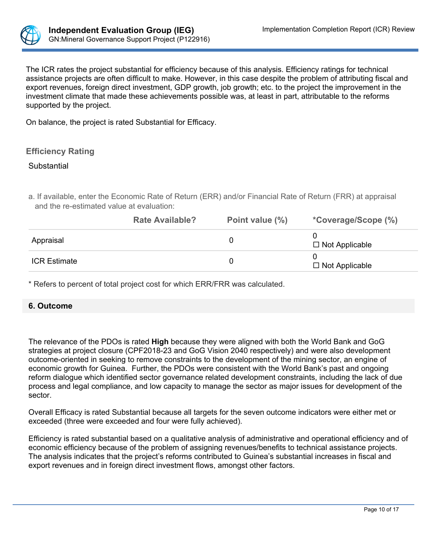

The ICR rates the project substantial for efficiency because of this analysis. Efficiency ratings for technical assistance projects are often difficult to make. However, in this case despite the problem of attributing fiscal and export revenues, foreign direct investment, GDP growth, job growth; etc. to the project the improvement in the investment climate that made these achievements possible was, at least in part, attributable to the reforms supported by the project.

On balance, the project is rated Substantial for Efficacy.

# **Efficiency Rating**

#### **Substantial**

a. If available, enter the Economic Rate of Return (ERR) and/or Financial Rate of Return (FRR) at appraisal and the re-estimated value at evaluation:

|                     | <b>Rate Available?</b> | Point value (%) | <i>*Coverage/Scope (%)</i> |
|---------------------|------------------------|-----------------|----------------------------|
| Appraisal           |                        |                 | $\Box$ Not Applicable      |
| <b>ICR Estimate</b> |                        |                 | $\Box$ Not Applicable      |

\* Refers to percent of total project cost for which ERR/FRR was calculated.

## **6. Outcome**

The relevance of the PDOs is rated **High** because they were aligned with both the World Bank and GoG strategies at project closure (CPF2018-23 and GoG Vision 2040 respectively) and were also development outcome-oriented in seeking to remove constraints to the development of the mining sector, an engine of economic growth for Guinea. Further, the PDOs were consistent with the World Bank's past and ongoing reform dialogue which identified sector governance related development constraints, including the lack of due process and legal compliance, and low capacity to manage the sector as major issues for development of the sector.

Overall Efficacy is rated Substantial because all targets for the seven outcome indicators were either met or exceeded (three were exceeded and four were fully achieved).

Efficiency is rated substantial based on a qualitative analysis of administrative and operational efficiency and of economic efficiency because of the problem of assigning revenues/benefits to technical assistance projects. The analysis indicates that the project's reforms contributed to Guinea's substantial increases in fiscal and export revenues and in foreign direct investment flows, amongst other factors.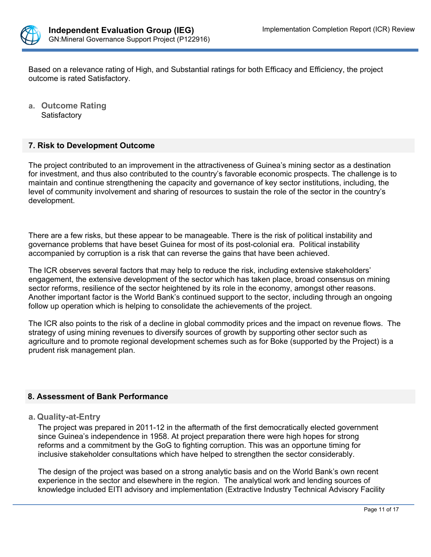

Based on a relevance rating of High, and Substantial ratings for both Efficacy and Efficiency, the project outcome is rated Satisfactory.

**a. Outcome Rating Satisfactory** 

## **7. Risk to Development Outcome**

The project contributed to an improvement in the attractiveness of Guinea's mining sector as a destination for investment, and thus also contributed to the country's favorable economic prospects. The challenge is to maintain and continue strengthening the capacity and governance of key sector institutions, including, the level of community involvement and sharing of resources to sustain the role of the sector in the country's development.

There are a few risks, but these appear to be manageable. There is the risk of political instability and governance problems that have beset Guinea for most of its post-colonial era. Political instability accompanied by corruption is a risk that can reverse the gains that have been achieved.

The ICR observes several factors that may help to reduce the risk, including extensive stakeholders' engagement, the extensive development of the sector which has taken place, broad consensus on mining sector reforms, resilience of the sector heightened by its role in the economy, amongst other reasons. Another important factor is the World Bank's continued support to the sector, including through an ongoing follow up operation which is helping to consolidate the achievements of the project.

The ICR also points to the risk of a decline in global commodity prices and the impact on revenue flows. The strategy of using mining revenues to diversify sources of growth by supporting other sector such as agriculture and to promote regional development schemes such as for Boke (supported by the Project) is a prudent risk management plan.

## **8. Assessment of Bank Performance**

## **a. Quality-at-Entry**

The project was prepared in 2011-12 in the aftermath of the first democratically elected government since Guinea's independence in 1958. At project preparation there were high hopes for strong reforms and a commitment by the GoG to fighting corruption. This was an opportune timing for inclusive stakeholder consultations which have helped to strengthen the sector considerably.

The design of the project was based on a strong analytic basis and on the World Bank's own recent experience in the sector and elsewhere in the region. The analytical work and lending sources of knowledge included EITI advisory and implementation (Extractive Industry Technical Advisory Facility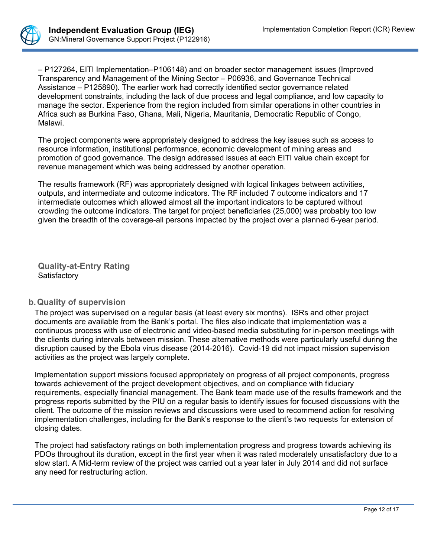

– P127264, EITI Implementation–P106148) and on broader sector management issues (Improved Transparency and Management of the Mining Sector – P06936, and Governance Technical Assistance – P125890). The earlier work had correctly identified sector governance related development constraints, including the lack of due process and legal compliance, and low capacity to manage the sector. Experience from the region included from similar operations in other countries in Africa such as Burkina Faso, Ghana, Mali, Nigeria, Mauritania, Democratic Republic of Congo, Malawi.

The project components were appropriately designed to address the key issues such as access to resource information, institutional performance, economic development of mining areas and promotion of good governance. The design addressed issues at each EITI value chain except for revenue management which was being addressed by another operation.

The results framework (RF) was appropriately designed with logical linkages between activities, outputs, and intermediate and outcome indicators. The RF included 7 outcome indicators and 17 intermediate outcomes which allowed almost all the important indicators to be captured without crowding the outcome indicators. The target for project beneficiaries (25,000) was probably too low given the breadth of the coverage-all persons impacted by the project over a planned 6-year period.

**Quality-at-Entry Rating Satisfactory** 

# **b.Quality of supervision**

The project was supervised on a regular basis (at least every six months). ISRs and other project documents are available from the Bank's portal. The files also indicate that implementation was a continuous process with use of electronic and video-based media substituting for in-person meetings with the clients during intervals between mission. These alternative methods were particularly useful during the disruption caused by the Ebola virus disease (2014-2016). Covid-19 did not impact mission supervision activities as the project was largely complete.

Implementation support missions focused appropriately on progress of all project components, progress towards achievement of the project development objectives, and on compliance with fiduciary requirements, especially financial management. The Bank team made use of the results framework and the progress reports submitted by the PIU on a regular basis to identify issues for focused discussions with the client. The outcome of the mission reviews and discussions were used to recommend action for resolving implementation challenges, including for the Bank's response to the client's two requests for extension of closing dates.

The project had satisfactory ratings on both implementation progress and progress towards achieving its PDOs throughout its duration, except in the first year when it was rated moderately unsatisfactory due to a slow start. A Mid-term review of the project was carried out a year later in July 2014 and did not surface any need for restructuring action.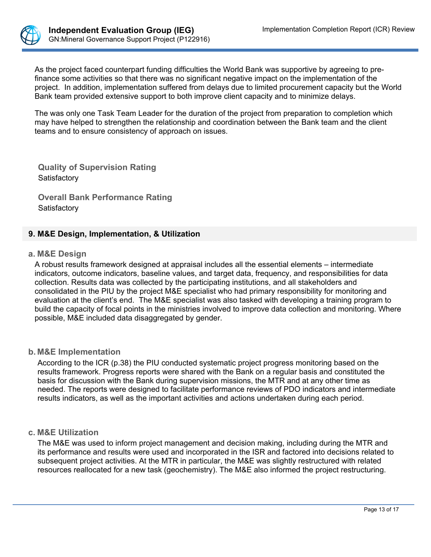

As the project faced counterpart funding difficulties the World Bank was supportive by agreeing to prefinance some activities so that there was no significant negative impact on the implementation of the project. In addition, implementation suffered from delays due to limited procurement capacity but the World Bank team provided extensive support to both improve client capacity and to minimize delays.

The was only one Task Team Leader for the duration of the project from preparation to completion which may have helped to strengthen the relationship and coordination between the Bank team and the client teams and to ensure consistency of approach on issues.

**Quality of Supervision Rating Satisfactory** 

**Overall Bank Performance Rating Satisfactory** 

## **9. M&E Design, Implementation, & Utilization**

#### **a. M&E Design**

A robust results framework designed at appraisal includes all the essential elements – intermediate indicators, outcome indicators, baseline values, and target data, frequency, and responsibilities for data collection. Results data was collected by the participating institutions, and all stakeholders and consolidated in the PIU by the project M&E specialist who had primary responsibility for monitoring and evaluation at the client's end. The M&E specialist was also tasked with developing a training program to build the capacity of focal points in the ministries involved to improve data collection and monitoring. Where possible, M&E included data disaggregated by gender.

## **b. M&E Implementation**

According to the ICR (p.38) the PIU conducted systematic project progress monitoring based on the results framework. Progress reports were shared with the Bank on a regular basis and constituted the basis for discussion with the Bank during supervision missions, the MTR and at any other time as needed. The reports were designed to facilitate performance reviews of PDO indicators and intermediate results indicators, as well as the important activities and actions undertaken during each period.

## **c. M&E Utilization**

The M&E was used to inform project management and decision making, including during the MTR and its performance and results were used and incorporated in the ISR and factored into decisions related to subsequent project activities. At the MTR in particular, the M&E was slightly restructured with related resources reallocated for a new task (geochemistry). The M&E also informed the project restructuring.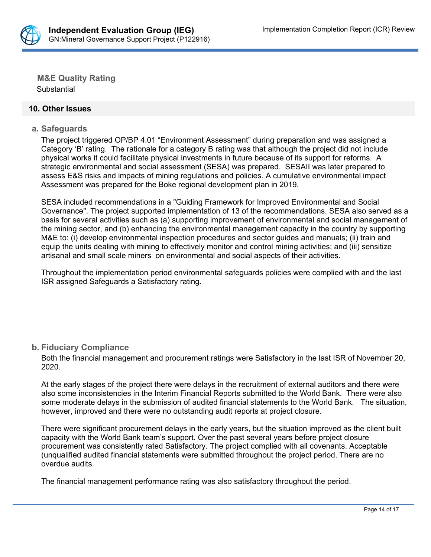

**M&E Quality Rating Substantial** 

#### **10. Other Issues**

#### **a. Safeguards**

The project triggered OP/BP 4.01 "Environment Assessment" during preparation and was assigned a Category 'B' rating. The rationale for a category B rating was that although the project did not include physical works it could facilitate physical investments in future because of its support for reforms. A strategic environmental and social assessment (SESA) was prepared. SESAII was later prepared to assess E&S risks and impacts of mining regulations and policies. A cumulative environmental impact Assessment was prepared for the Boke regional development plan in 2019.

SESA included recommendations in a "Guiding Framework for Improved Environmental and Social Governance". The project supported implementation of 13 of the recommendations. SESA also served as a basis for several activities such as (a) supporting improvement of environmental and social management of the mining sector, and (b) enhancing the environmental management capacity in the country by supporting M&E to: (i) develop environmental inspection procedures and sector guides and manuals; (ii) train and equip the units dealing with mining to effectively monitor and control mining activities; and (iii) sensitize artisanal and small scale miners on environmental and social aspects of their activities.

Throughout the implementation period environmental safeguards policies were complied with and the last ISR assigned Safeguards a Satisfactory rating.

## **b. Fiduciary Compliance**

Both the financial management and procurement ratings were Satisfactory in the last ISR of November 20, 2020.

At the early stages of the project there were delays in the recruitment of external auditors and there were also some inconsistencies in the Interim Financial Reports submitted to the World Bank. There were also some moderate delays in the submission of audited financial statements to the World Bank. The situation, however, improved and there were no outstanding audit reports at project closure.

There were significant procurement delays in the early years, but the situation improved as the client built capacity with the World Bank team's support. Over the past several years before project closure procurement was consistently rated Satisfactory. The project complied with all covenants. Acceptable (unqualified audited financial statements were submitted throughout the project period. There are no overdue audits.

The financial management performance rating was also satisfactory throughout the period.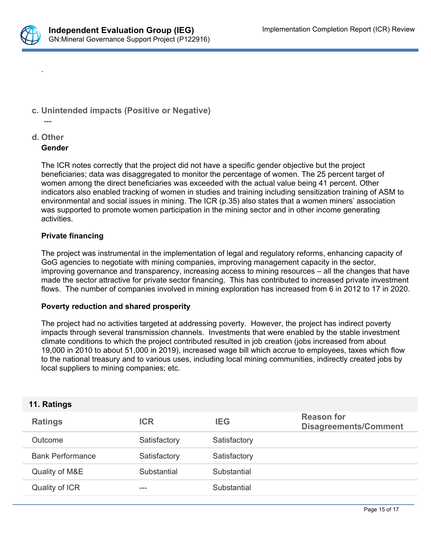

.

# **c. Unintended impacts (Positive or Negative)**

#### **d. Other**

---

#### **Gender**

The ICR notes correctly that the project did not have a specific gender objective but the project beneficiaries; data was disaggregated to monitor the percentage of women. The 25 percent target of women among the direct beneficiaries was exceeded with the actual value being 41 percent. Other indicators also enabled tracking of women in studies and training including sensitization training of ASM to environmental and social issues in mining. The ICR (p.35) also states that a women miners' association was supported to promote women participation in the mining sector and in other income generating activities.

## **Private financing**

The project was instrumental in the implementation of legal and regulatory reforms, enhancing capacity of GoG agencies to negotiate with mining companies, improving management capacity in the sector, improving governance and transparency, increasing access to mining resources – all the changes that have made the sector attractive for private sector financing. This has contributed to increased private investment flows. The number of companies involved in mining exploration has increased from 6 in 2012 to 17 in 2020.

#### **Poverty reduction and shared prosperity**

The project had no activities targeted at addressing poverty. However, the project has indirect poverty impacts through several transmission channels. Investments that were enabled by the stable investment climate conditions to which the project contributed resulted in job creation (jobs increased from about 19,000 in 2010 to about 51,000 in 2019), increased wage bill which accrue to employees, taxes which flow to the national treasury and to various uses, including local mining communities, indirectly created jobs by local suppliers to mining companies; etc.

## **11. Ratings**

| <b>Ratings</b>          | <b>ICR</b>   | <b>IEG</b>   | <b>Reason for</b><br><b>Disagreements/Comment</b> |
|-------------------------|--------------|--------------|---------------------------------------------------|
| Outcome                 | Satisfactory | Satisfactory |                                                   |
| <b>Bank Performance</b> | Satisfactory | Satisfactory |                                                   |
| Quality of M&E          | Substantial  | Substantial  |                                                   |
| Quality of ICR          | ---          | Substantial  |                                                   |
|                         |              |              |                                                   |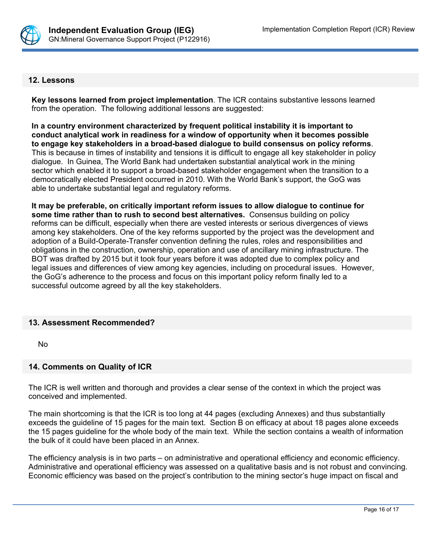

#### **12. Lessons**

**Key lessons learned from project implementation**. The ICR contains substantive lessons learned from the operation. The following additional lessons are suggested:

**In a country environment characterized by frequent political instability it is important to conduct analytical work in readiness for a window of opportunity when it becomes possible to engage key stakeholders in a broad-based dialogue to build consensus on policy reforms**. This is because in times of instability and tensions it is difficult to engage all key stakeholder in policy dialogue. In Guinea, The World Bank had undertaken substantial analytical work in the mining sector which enabled it to support a broad-based stakeholder engagement when the transition to a democratically elected President occurred in 2010. With the World Bank's support, the GoG was able to undertake substantial legal and regulatory reforms.

**It may be preferable, on critically important reform issues to allow dialogue to continue for some time rather than to rush to second best alternatives.** Consensus building on policy reforms can be difficult, especially when there are vested interests or serious divergences of views among key stakeholders. One of the key reforms supported by the project was the development and adoption of a Build-Operate-Transfer convention defining the rules, roles and responsibilities and obligations in the construction, ownership, operation and use of ancillary mining infrastructure. The BOT was drafted by 2015 but it took four years before it was adopted due to complex policy and legal issues and differences of view among key agencies, including on procedural issues. However, the GoG's adherence to the process and focus on this important policy reform finally led to a successful outcome agreed by all the key stakeholders.

## **13. Assessment Recommended?**

No

## **14. Comments on Quality of ICR**

The ICR is well written and thorough and provides a clear sense of the context in which the project was conceived and implemented.

The main shortcoming is that the ICR is too long at 44 pages (excluding Annexes) and thus substantially exceeds the guideline of 15 pages for the main text. Section B on efficacy at about 18 pages alone exceeds the 15 pages guideline for the whole body of the main text. While the section contains a wealth of information the bulk of it could have been placed in an Annex.

The efficiency analysis is in two parts – on administrative and operational efficiency and economic efficiency. Administrative and operational efficiency was assessed on a qualitative basis and is not robust and convincing. Economic efficiency was based on the project's contribution to the mining sector's huge impact on fiscal and